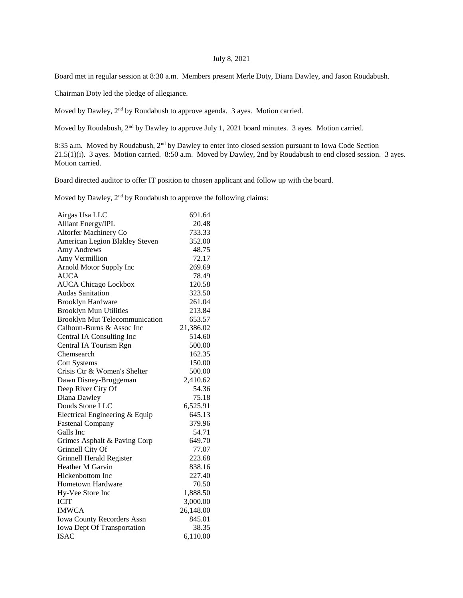## July 8, 2021

Board met in regular session at 8:30 a.m. Members present Merle Doty, Diana Dawley, and Jason Roudabush.

Chairman Doty led the pledge of allegiance.

Moved by Dawley, 2nd by Roudabush to approve agenda. 3 ayes. Motion carried.

Moved by Roudabush, 2nd by Dawley to approve July 1, 2021 board minutes. 3 ayes. Motion carried.

8:35 a.m. Moved by Roudabush, 2<sup>nd</sup> by Dawley to enter into closed session pursuant to Iowa Code Section 21.5(1)(i). 3 ayes. Motion carried. 8:50 a.m. Moved by Dawley, 2nd by Roudabush to end closed session. 3 ayes. Motion carried.

Board directed auditor to offer IT position to chosen applicant and follow up with the board.

Moved by Dawley, 2<sup>nd</sup> by Roudabush to approve the following claims:

| Airgas Usa LLC                        | 691.64    |
|---------------------------------------|-----------|
| <b>Alliant Energy/IPL</b>             | 20.48     |
| Altorfer Machinery Co                 | 733.33    |
| American Legion Blakley Steven        | 352.00    |
| Amy Andrews                           | 48.75     |
| Amy Vermillion                        | 72.17     |
| Arnold Motor Supply Inc               | 269.69    |
| <b>AUCA</b>                           | 78.49     |
| <b>AUCA Chicago Lockbox</b>           | 120.58    |
| <b>Audas Sanitation</b>               | 323.50    |
| <b>Brooklyn Hardware</b>              | 261.04    |
| <b>Brooklyn Mun Utilities</b>         | 213.84    |
| <b>Brooklyn Mut Telecommunication</b> | 653.57    |
| Calhoun-Burns & Assoc Inc             | 21,386.02 |
| Central IA Consulting Inc             | 514.60    |
| Central IA Tourism Rgn                | 500.00    |
| Chemsearch                            | 162.35    |
| <b>Cott Systems</b>                   | 150.00    |
| Crisis Ctr & Women's Shelter          | 500.00    |
| Dawn Disney-Bruggeman                 | 2,410.62  |
| Deep River City Of                    | 54.36     |
| Diana Dawley                          | 75.18     |
| Douds Stone LLC                       | 6,525.91  |
| Electrical Engineering & Equip        | 645.13    |
| <b>Fastenal Company</b>               | 379.96    |
| Galls Inc                             | 54.71     |
| Grimes Asphalt & Paving Corp          | 649.70    |
| Grinnell City Of                      | 77.07     |
| <b>Grinnell Herald Register</b>       | 223.68    |
| Heather M Garvin                      | 838.16    |
| Hickenbottom Inc                      | 227.40    |
| <b>Hometown Hardware</b>              | 70.50     |
| Hy-Vee Store Inc                      | 1,888.50  |
| <b>ICIT</b>                           | 3,000.00  |
| <b>IMWCA</b>                          | 26,148.00 |
| <b>Iowa County Recorders Assn</b>     | 845.01    |
| <b>Iowa Dept Of Transportation</b>    | 38.35     |
| <b>ISAC</b>                           | 6,110.00  |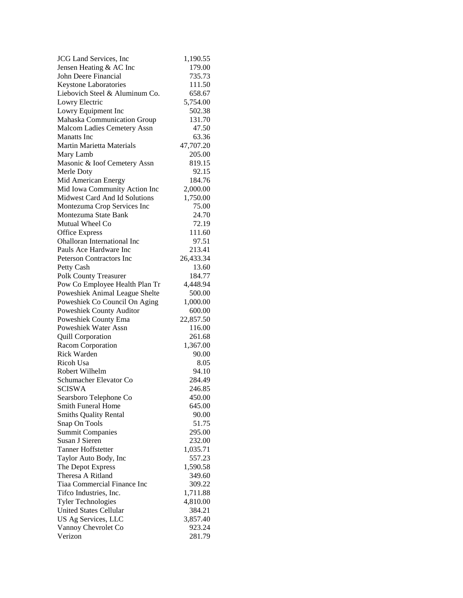| <b>JCG</b> Land Services, Inc            | 1,190.55  |
|------------------------------------------|-----------|
| Jensen Heating & AC Inc                  | 179.00    |
| John Deere Financial                     | 735.73    |
| Keystone Laboratories                    | 111.50    |
| Liebovich Steel & Aluminum Co.           | 658.67    |
| Lowry Electric                           | 5,754.00  |
| Lowry Equipment Inc                      | 502.38    |
| Mahaska Communication Group              | 131.70    |
| Malcom Ladies Cemetery Assn              | 47.50     |
| <b>Manatts</b> Inc                       | 63.36     |
| Martin Marietta Materials                | 47,707.20 |
| Mary Lamb                                | 205.00    |
| Masonic & Ioof Cemetery Assn             | 819.15    |
| Merle Doty                               | 92.15     |
| Mid American Energy                      | 184.76    |
| Mid Iowa Community Action Inc            | 2,000.00  |
| Midwest Card And Id Solutions            | 1,750.00  |
| Montezuma Crop Services Inc              | 75.00     |
| Montezuma State Bank                     | 24.70     |
| Mutual Wheel Co                          | 72.19     |
| <b>Office Express</b>                    | 111.60    |
| Ohalloran International Inc              | 97.51     |
| Pauls Ace Hardware Inc                   | 213.41    |
| <b>Peterson Contractors Inc</b>          | 26,433.34 |
| Petty Cash                               | 13.60     |
| Polk County Treasurer                    | 184.77    |
| Pow Co Employee Health Plan Tr           | 4,448.94  |
| Poweshiek Animal League Shelte           | 500.00    |
| Poweshiek Co Council On Aging            | 1,000.00  |
| Poweshiek County Auditor                 | 600.00    |
| Poweshiek County Ema                     | 22,857.50 |
| Poweshiek Water Assn                     | 116.00    |
| <b>Quill Corporation</b>                 | 261.68    |
| Racom Corporation                        | 1,367.00  |
| Rick Warden                              | 90.00     |
| Ricoh Usa                                | 8.05      |
| Robert Wilhelm                           | 94.10     |
| Schumacher Elevator Co                   | 284.49    |
| <b>SCISWA</b>                            | 246.85    |
| Searsboro Telephone Co                   | 450.00    |
| <b>Smith Funeral Home</b>                | 645.00    |
| <b>Smiths Quality Rental</b>             | 90.00     |
|                                          | 51.75     |
| Snap On Tools<br><b>Summit Companies</b> | 295.00    |
| Susan J Sieren                           | 232.00    |
| <b>Tanner Hoffstetter</b>                | 1,035.71  |
| Taylor Auto Body, Inc                    | 557.23    |
| The Depot Express                        | 1,590.58  |
| Theresa A Ritland                        |           |
| Tiaa Commercial Finance Inc              | 349.60    |
|                                          | 309.22    |
| Tifco Industries, Inc.                   | 1,711.88  |
| <b>Tyler Technologies</b>                | 4,810.00  |
| <b>United States Cellular</b>            | 384.21    |
| US Ag Services, LLC                      | 3,857.40  |
| Vannoy Chevrolet Co                      | 923.24    |
| Verizon                                  | 281.79    |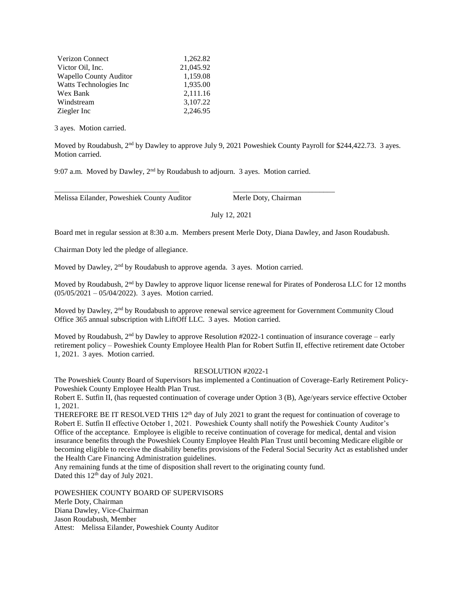| Verizon Connect               | 1,262.82  |
|-------------------------------|-----------|
| Victor Oil, Inc.              | 21,045.92 |
| <b>Wapello County Auditor</b> | 1,159.08  |
| Watts Technologies Inc.       | 1,935.00  |
| Wex Bank                      | 2,111.16  |
| Windstream                    | 3.107.22  |
| Ziegler Inc                   | 2,246.95  |

3 ayes. Motion carried.

Moved by Roudabush, 2<sup>nd</sup> by Dawley to approve July 9, 2021 Poweshiek County Payroll for \$244,422.73. 3 ayes. Motion carried.

9:07 a.m. Moved by Dawley, 2nd by Roudabush to adjourn. 3 ayes. Motion carried.

\_\_\_\_\_\_\_\_\_\_\_\_\_\_\_\_\_\_\_\_\_\_\_\_\_\_\_\_\_\_\_\_\_ \_\_\_\_\_\_\_\_\_\_\_\_\_\_\_\_\_\_\_\_\_\_\_\_\_\_\_

Melissa Eilander, Poweshiek County Auditor Merle Doty, Chairman

July 12, 2021

Board met in regular session at 8:30 a.m. Members present Merle Doty, Diana Dawley, and Jason Roudabush.

Chairman Doty led the pledge of allegiance.

Moved by Dawley, 2<sup>nd</sup> by Roudabush to approve agenda. 3 ayes. Motion carried.

Moved by Roudabush, 2<sup>nd</sup> by Dawley to approve liquor license renewal for Pirates of Ponderosa LLC for 12 months (05/05/2021 – 05/04/2022). 3 ayes. Motion carried.

Moved by Dawley, 2<sup>nd</sup> by Roudabush to approve renewal service agreement for Government Community Cloud Office 365 annual subscription with LiftOff LLC. 3 ayes. Motion carried.

Moved by Roudabush,  $2<sup>nd</sup>$  by Dawley to approve Resolution #2022-1 continuation of insurance coverage – early retirement policy – Poweshiek County Employee Health Plan for Robert Sutfin II, effective retirement date October 1, 2021. 3 ayes. Motion carried.

## RESOLUTION #2022-1

The Poweshiek County Board of Supervisors has implemented a Continuation of Coverage-Early Retirement Policy-Poweshiek County Employee Health Plan Trust.

Robert E. Sutfin II, (has requested continuation of coverage under Option 3 (B), Age/years service effective October 1, 2021.

THEREFORE BE IT RESOLVED THIS  $12<sup>th</sup>$  day of July 2021 to grant the request for continuation of coverage to Robert E. Sutfin II effective October 1, 2021. Poweshiek County shall notify the Poweshiek County Auditor's Office of the acceptance. Employee is eligible to receive continuation of coverage for medical, dental and vision insurance benefits through the Poweshiek County Employee Health Plan Trust until becoming Medicare eligible or becoming eligible to receive the disability benefits provisions of the Federal Social Security Act as established under the Health Care Financing Administration guidelines.

Any remaining funds at the time of disposition shall revert to the originating county fund. Dated this 12<sup>th</sup> day of July 2021.

POWESHIEK COUNTY BOARD OF SUPERVISORS Merle Doty, Chairman Diana Dawley, Vice-Chairman Jason Roudabush, Member Attest: Melissa Eilander, Poweshiek County Auditor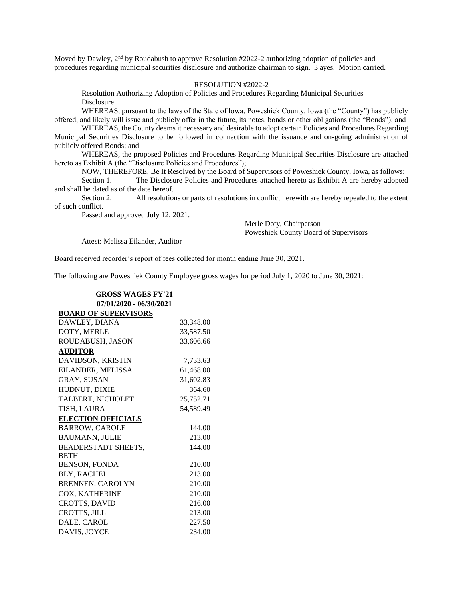Moved by Dawley, 2<sup>nd</sup> by Roudabush to approve Resolution #2022-2 authorizing adoption of policies and procedures regarding municipal securities disclosure and authorize chairman to sign. 3 ayes. Motion carried.

## RESOLUTION #2022-2

Resolution Authorizing Adoption of Policies and Procedures Regarding Municipal Securities Disclosure

WHEREAS, pursuant to the laws of the State of Iowa, Poweshiek County, Iowa (the "County") has publicly offered, and likely will issue and publicly offer in the future, its notes, bonds or other obligations (the "Bonds"); and

WHEREAS, the County deems it necessary and desirable to adopt certain Policies and Procedures Regarding Municipal Securities Disclosure to be followed in connection with the issuance and on-going administration of publicly offered Bonds; and

WHEREAS, the proposed Policies and Procedures Regarding Municipal Securities Disclosure are attached hereto as Exhibit A (the "Disclosure Policies and Procedures");

NOW, THEREFORE, Be It Resolved by the Board of Supervisors of Poweshiek County, Iowa, as follows:

Section 1. The Disclosure Policies and Procedures attached hereto as Exhibit A are hereby adopted and shall be dated as of the date hereof.

Section 2. All resolutions or parts of resolutions in conflict herewith are hereby repealed to the extent of such conflict.

Passed and approved July 12, 2021.

Merle Doty, Chairperson Poweshiek County Board of Supervisors

Attest: Melissa Eilander, Auditor

Board received recorder's report of fees collected for month ending June 30, 2021.

The following are Poweshiek County Employee gross wages for period July 1, 2020 to June 30, 2021:

| <b>GROSS WAGES FY'21</b>    |           |  |
|-----------------------------|-----------|--|
| 07/01/2020 - 06/30/2021     |           |  |
| <b>BOARD OF SUPERVISORS</b> |           |  |
| DAWLEY, DIANA               | 33,348.00 |  |
| DOTY, MERLE                 | 33,587.50 |  |
| ROUDABUSH, JASON            | 33,606.66 |  |
| <b>AUDITOR</b>              |           |  |
| DAVIDSON, KRISTIN           | 7,733.63  |  |
| EILANDER, MELISSA           | 61,468.00 |  |
| <b>GRAY, SUSAN</b>          | 31,602.83 |  |
| HUDNUT, DIXIE               | 364.60    |  |
| TALBERT, NICHOLET           | 25,752.71 |  |
| TISH, LAURA                 | 54,589.49 |  |
| <b>ELECTION OFFICIALS</b>   |           |  |
| <b>BARROW, CAROLE</b>       | 144.00    |  |
| <b>BAUMANN, JULIE</b>       | 213.00    |  |
| <b>BEADERSTADT SHEETS,</b>  | 144.00    |  |
| <b>BETH</b>                 |           |  |
| <b>BENSON, FONDA</b>        | 210.00    |  |
| <b>BLY, RACHEL</b>          | 213.00    |  |
| <b>BRENNEN, CAROLYN</b>     | 210.00    |  |
| COX, KATHERINE              | 210.00    |  |
| <b>CROTTS, DAVID</b>        | 216.00    |  |
| CROTTS, JILL                | 213.00    |  |
| DALE, CAROL                 | 227.50    |  |
| DAVIS, JOYCE                | 234.00    |  |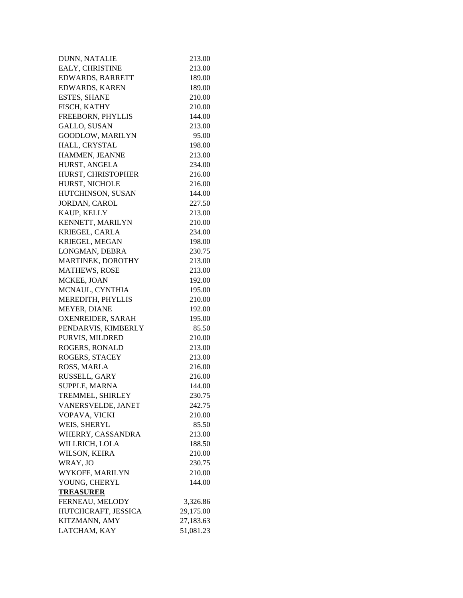| DUNN, NATALIE           | 213.00    |
|-------------------------|-----------|
| EALY, CHRISTINE         | 213.00    |
| <b>EDWARDS, BARRETT</b> | 189.00    |
| <b>EDWARDS, KAREN</b>   | 189.00    |
| <b>ESTES, SHANE</b>     | 210.00    |
| FISCH, KATHY            | 210.00    |
| FREEBORN, PHYLLIS       | 144.00    |
| <b>GALLO, SUSAN</b>     | 213.00    |
| GOODLOW, MARILYN        | 95.00     |
| HALL, CRYSTAL           | 198.00    |
| HAMMEN, JEANNE          | 213.00    |
| HURST, ANGELA           | 234.00    |
| HURST, CHRISTOPHER      | 216.00    |
| HURST, NICHOLE          | 216.00    |
| HUTCHINSON, SUSAN       | 144.00    |
| JORDAN, CAROL           | 227.50    |
| KAUP, KELLY             | 213.00    |
| KENNETT, MARILYN        | 210.00    |
| KRIEGEL, CARLA          | 234.00    |
| KRIEGEL, MEGAN          | 198.00    |
| LONGMAN, DEBRA          | 230.75    |
| MARTINEK, DOROTHY       | 213.00    |
| <b>MATHEWS, ROSE</b>    | 213.00    |
| MCKEE, JOAN             | 192.00    |
| MCNAUL, CYNTHIA         | 195.00    |
| MEREDITH, PHYLLIS       | 210.00    |
| MEYER, DIANE            | 192.00    |
| OXENREIDER, SARAH       | 195.00    |
| PENDARVIS, KIMBERLY     | 85.50     |
| PURVIS, MILDRED         | 210.00    |
| ROGERS, RONALD          | 213.00    |
| ROGERS, STACEY          | 213.00    |
| ROSS, MARLA             | 216.00    |
| RUSSELL, GARY           | 216.00    |
| SUPPLE, MARNA           | 144.00    |
| TREMMEL, SHIRLEY        | 230.75    |
| VANERSVELDE, JANET      | 242.75    |
| VOPAVA, VICKI           | 210.00    |
| WEIS, SHERYL            | 85.50     |
| WHERRY, CASSANDRA       | 213.00    |
| WILLRICH, LOLA          | 188.50    |
| WILSON, KEIRA           | 210.00    |
| WRAY, JO                | 230.75    |
| WYKOFF, MARILYN         | 210.00    |
| YOUNG, CHERYL           | 144.00    |
| <b>TREASURER</b>        |           |
| FERNEAU, MELODY         | 3,326.86  |
| HUTCHCRAFT, JESSICA     | 29,175.00 |
| KITZMANN, AMY           | 27,183.63 |
| LATCHAM, KAY            | 51,081.23 |
|                         |           |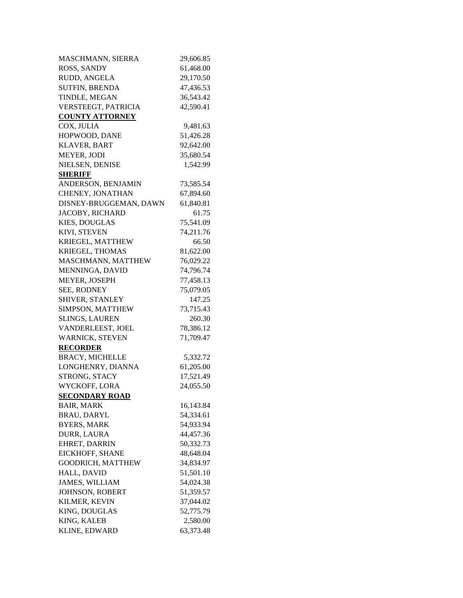| <b>MASCHMANN, SIERRA</b>                    | 29,606.85 |
|---------------------------------------------|-----------|
| <b>ROSS, SANDY</b>                          | 61,468.00 |
| RUDD, ANGELA                                | 29,170.50 |
| <b>SUTFIN, BRENDA</b>                       | 47,436.53 |
| TINDLE, MEGAN                               | 36,543.42 |
| VERSTEEGT, PATRICIA                         | 42,590.41 |
| <b>COUNTY ATTORNEY</b>                      |           |
| COX, JULIA                                  | 9,481.63  |
| HOPWOOD, DANE                               | 51,426.28 |
| <b>KLAVER, BART</b>                         | 92,642.00 |
| MEYER, JODI                                 | 35,680.54 |
| NIELSEN, DENISE                             | 1,542.99  |
| <b>SHERIFF</b>                              |           |
| ANDERSON, BENJAMIN                          | 73,585.54 |
| CHENEY, JONATHAN                            | 67,894.60 |
| DISNEY-BRUGGEMAN, DAWN                      | 61,840.81 |
| JACOBY, RICHARD                             | 61.75     |
| <b>KIES, DOUGLAS</b>                        | 75,541.09 |
| KIVI, STEVEN                                | 74,211.76 |
| KRIEGEL, MATTHEW                            | 66.50     |
| KRIEGEL, THOMAS                             | 81,622.00 |
| MASCHMANN, MATTHEW                          | 76,029.22 |
| MENNINGA, DAVID                             | 74,796.74 |
| MEYER, JOSEPH                               | 77,458.13 |
| SEE, RODNEY                                 | 75,079.05 |
| SHIVER, STANLEY                             | 147.25    |
| SIMPSON, MATTHEW                            | 73,715.43 |
| <b>SLINGS, LAUREN</b>                       | 260.30    |
| VANDERLEEST, JOEL                           | 78,386.12 |
| WARNICK, STEVEN                             | 71,709.47 |
|                                             |           |
| <b>RECORDER</b>                             |           |
| <b>BRACY, MICHELLE</b><br>LONGHENRY, DIANNA | 5,332.72  |
| STRONG, STACY                               | 61,205.00 |
| WYCKOFF, LORA                               | 17,521.49 |
|                                             | 24,055.50 |
| <b>SECONDARY ROAD</b>                       |           |
| <b>BAIR, MARK</b>                           | 16,143.84 |
| <b>BRAU, DARYL</b>                          | 54,334.61 |
| <b>BYERS, MARK</b>                          | 54,933.94 |
| DURR, LAURA                                 | 44,457.36 |
| EHRET, DARRIN                               | 50,332.73 |
| EICKHOFF, SHANE                             | 48,648.04 |
| <b>GOODRICH, MATTHEW</b>                    | 34,834.97 |
| HALL, DAVID                                 | 51,501.10 |
| <b>JAMES, WILLIAM</b>                       | 54,024.38 |
| <b>JOHNSON, ROBERT</b>                      | 51,359.57 |
| KILMER, KEVIN                               | 37,044.02 |
| KING, DOUGLAS                               | 52,775.79 |
| KING, KALEB                                 | 2,580.00  |
| KLINE, EDWARD                               | 63,373.48 |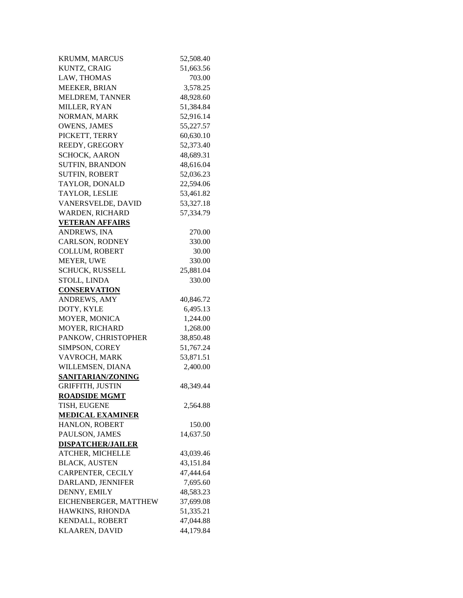| <b>KRUMM, MARCUS</b>                   | 52,508.40 |
|----------------------------------------|-----------|
| KUNTZ, CRAIG                           | 51,663.56 |
| LAW, THOMAS                            | 703.00    |
| <b>MEEKER, BRIAN</b>                   | 3,578.25  |
| MELDREM, TANNER                        | 48,928.60 |
| MILLER, RYAN                           | 51,384.84 |
| NORMAN, MARK                           | 52,916.14 |
| <b>OWENS, JAMES</b>                    | 55,227.57 |
| PICKETT, TERRY                         | 60,630.10 |
| REEDY, GREGORY                         | 52,373.40 |
| <b>SCHOCK, AARON</b>                   | 48,689.31 |
| <b>SUTFIN, BRANDON</b>                 | 48,616.04 |
| <b>SUTFIN, ROBERT</b>                  | 52,036.23 |
| TAYLOR, DONALD                         | 22,594.06 |
| TAYLOR, LESLIE                         | 53,461.82 |
| VANERSVELDE, DAVID                     | 53,327.18 |
| WARDEN, RICHARD                        | 57,334.79 |
|                                        |           |
| <b>VETERAN AFFAIRS</b><br>ANDREWS, INA | 270.00    |
|                                        | 330.00    |
| CARLSON, RODNEY                        |           |
| <b>COLLUM, ROBERT</b>                  | 30.00     |
| MEYER, UWE                             | 330.00    |
| SCHUCK, RUSSELL                        | 25,881.04 |
| STOLL, LINDA                           | 330.00    |
| <b>CONSERVATION</b>                    |           |
| ANDREWS, AMY                           | 40,846.72 |
| DOTY, KYLE                             | 6,495.13  |
| MOYER, MONICA                          | 1,244.00  |
| <b>MOYER, RICHARD</b>                  | 1,268.00  |
| PANKOW, CHRISTOPHER                    | 38,850.48 |
| SIMPSON, COREY                         | 51,767.24 |
| VAVROCH, MARK                          | 53,871.51 |
| WILLEMSEN, DIANA                       | 2,400.00  |
| SANITARIAN/ZONING                      |           |
| <b>GRIFFITH, JUSTIN</b>                | 48,349.44 |
| <b>ROADSIDE MGMT</b>                   |           |
| TISH, EUGENE                           | 2,564.88  |
| <b>MEDICAL EXAMINER</b>                |           |
| HANLON, ROBERT                         | 150.00    |
| PAULSON, JAMES                         | 14,637.50 |
| <b>DISPATCHER/JAILER</b>               |           |
| ATCHER, MICHELLE                       | 43,039.46 |
| <b>BLACK, AUSTEN</b>                   | 43,151.84 |
| CARPENTER, CECILY                      | 47,444.64 |
| DARLAND, JENNIFER                      | 7,695.60  |
| DENNY, EMILY                           | 48,583.23 |
| EICHENBERGER, MATTHEW                  | 37,699.08 |
| HAWKINS, RHONDA                        | 51,335.21 |
| KENDALL, ROBERT                        | 47,044.88 |
| KLAAREN, DAVID                         | 44,179.84 |
|                                        |           |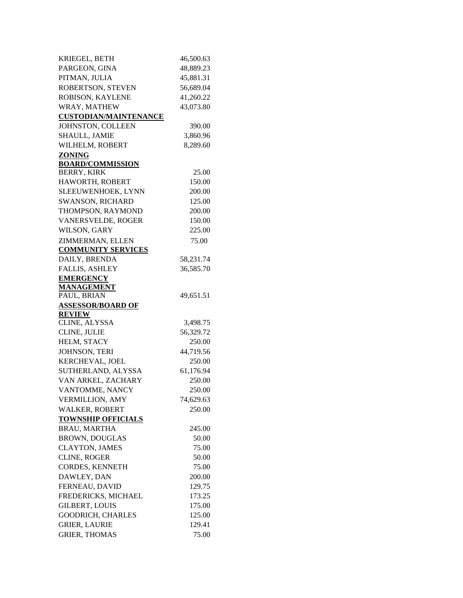| KRIEGEL, BETH                                | 46,500.63       |
|----------------------------------------------|-----------------|
| PARGEON, GINA                                | 48,889.23       |
| PITMAN, JULIA                                | 45,881.31       |
| ROBERTSON, STEVEN                            | 56,689.04       |
| ROBISON, KAYLENE                             | 41,260.22       |
| WRAY, MATHEW                                 | 43,073.80       |
| <b>CUSTODIAN/MAINTENANCE</b>                 |                 |
| JOHNSTON, COLLEEN                            | 390.00          |
| SHAULL, JAMIE                                | 3,860.96        |
| WILHELM, ROBERT                              | 8,289.60        |
| ZONING                                       |                 |
| <b>BOARD/COMMISSION</b>                      |                 |
| <b>BERRY, KIRK</b>                           | 25.00           |
| HAWORTH, ROBERT                              | 150.00          |
| SLEEUWENHOEK, LYNN                           | 200.00          |
| SWANSON, RICHARD                             | 125.00          |
| THOMPSON, RAYMOND                            | 200.00          |
| VANERSVELDE, ROGER                           | 150.00          |
| WILSON, GARY                                 | 225.00          |
| ZIMMERMAN, ELLEN                             | 75.00           |
| <b>COMMUNITY SERVICES</b>                    |                 |
| DAILY, BRENDA                                | 58,231.74       |
| <b>FALLIS, ASHLEY</b>                        | 36,585.70       |
| <b>EMERGENCY</b>                             |                 |
| <b>MANAGEMENT</b>                            |                 |
| PAUL, BRIAN                                  | 49,651.51       |
|                                              |                 |
| <b>ASSESSOR/BOARD OF</b>                     |                 |
| <b>REVIEW</b>                                |                 |
| CLINE, ALYSSA                                | 3,498.75        |
| CLINE, JULIE                                 | 56,329.72       |
| HELM, STACY                                  | 250.00          |
| JOHNSON, TERI                                | 44,719.56       |
| KERCHEVAL, JOEL                              | 250.00          |
| SUTHERLAND, ALYSSA                           | 61,176.94       |
| VAN ARKEL, ZACHARY                           | 250.00          |
| VANTOMME, NANCY                              | 250.00          |
| <b>VERMILLION, AMY</b>                       | 74,629.63       |
| <b>WALKER, ROBERT</b>                        | 250.00          |
| <b>TOWNSHIP OFFICIALS</b>                    |                 |
| <b>BRAU, MARTHA</b>                          | 245.00          |
| <b>BROWN, DOUGLAS</b>                        | 50.00           |
| <b>CLAYTON, JAMES</b>                        | 75.00           |
| <b>CLINE, ROGER</b>                          | 50.00           |
| CORDES, KENNETH                              | 75.00           |
| DAWLEY, DAN                                  | 200.00          |
| FERNEAU, DAVID                               | 129.75          |
| FREDERICKS, MICHAEL                          | 173.25          |
| <b>GILBERT, LOUIS</b>                        | 175.00          |
| <b>GOODRICH, CHARLES</b>                     | 125.00          |
| <b>GRIER, LAURIE</b><br><b>GRIER, THOMAS</b> | 129.41<br>75.00 |